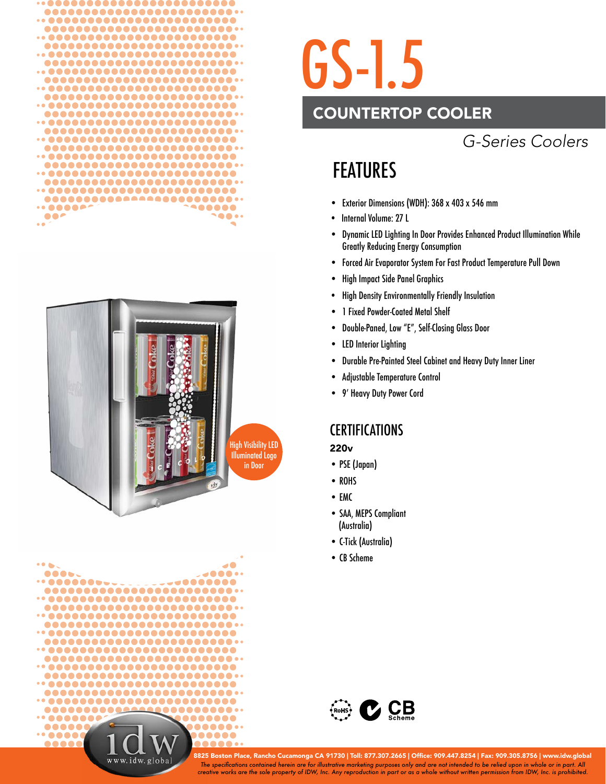





## GS-1.5

## COUNTERTOP COOLER

## *G-Series Coolers*

## FEATURES

- Exterior Dimensions (WDH): 368 x 403 x 546 mm
- Internal Volume: 27 L
- Dynamic LED Lighting In Door Provides Enhanced Product Illumination While Greatly Reducing Energy Consumption
- Forced Air Evaporator System For Fast Product Temperature Pull Down
- High Impact Side Panel Graphics
- High Density Environmentally Friendly Insulation
- 1 Fixed Powder-Coated Metal Shelf
- Double-Paned, Low "E", Self-Closing Glass Door
- LED Interior Lighting
- Durable Pre-Painted Steel Cabinet and Heavy Duty Inner Liner
- Adjustable Temperature Control
- 9' Heavy Duty Power Cord

### **CERTIFICATIONS**

### 220v

- PSE (Japan)
- ROHS
- EMC
- SAA, MEPS Compliant (Australia)
- C-Tick (Australia)
- CB Scheme



*The specifi cations contained herein are for illustrative marketing purposes only and are not intended to be relied upon in whole or in part. All creative works are the sole property of IDW, Inc. Any reproduction in part or as a whole without written permission from IDW, Inc. is prohibited.* 8825 Boston Place, Rancho Cucamonga CA 91730 | Toll: 877.307.2665 | Office: 909.447.8254 | Fax: 909.305.8756 | www.idw.global